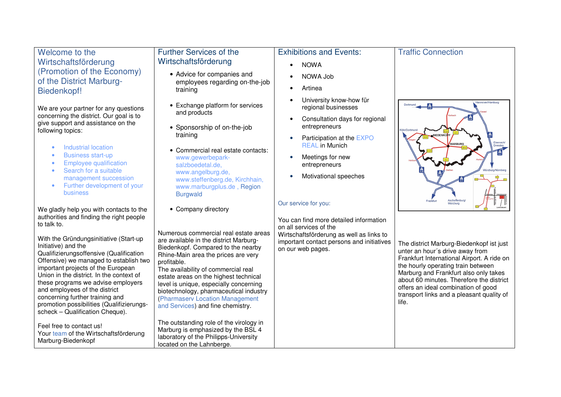## Welcome to the Wirtschaftsförderung (Promotion of the Economy) of the District Marburg-Biedenkopf!

We are your partner for any questions concerning the district. Our goal is to give support and assistance on the following topics:

- Industrial location
- Business start-up
- Employee qualification
- Search for a suitable management succession
- Further development of your business

We gladly help you with contacts to the authorities and finding the right people to talk to.

With the Gründungsinitiative (Start-up Initiative) and the Qualifizierungsoffensive (Qualification Offensive) we managed to establish two important projects of the European Union in the district. In the context of these programs we advise employers and employees of the district concerning further training and promotion possibilities (Qualifizierungsscheck – Qualification Cheque).

Feel free to contact us! Your team of the Wirtschaftsförderung Marburg-Biedenkopf

## Further Services of the Wirtschaftsförderung

- Advice for companies and employees regarding on-the-job training
- Exchange platform for services and products
- Sponsorship of on-the-job training
- Commercial real estate contacts: www.gewerbeparksalzboedetal.de, www.angelburg.de, www.steffenberg.de, Kirchhain, www.marburgplus.de , Region **Burgwald**
- Company directory

Numerous commercial real estate areas are available in the district Marburg-Biedenkopf. Compared to the nearby Rhine-Main area the prices are very profitable.

 The availability of commercial real estate areas on the highest technical level is unique, especially concerning biotechnology, pharmaceutical industry (Pharmaserv Location Management and Services) and fine chemistry.

The outstanding role of the virology in Marburg is emphasized by the BSL 4 laboratory of the Philipps-University located on the Lahnberge.

# Exhibitions and Events:

- NOWA
- NOWA Job
- Artinea
- University know-how für regional businesses
- Consultation days for regional entrepreneurs
- •• Participation at the EXPO REAL in Munich
- • Meetings for new entrepreneurs
- •Motivational speeches

### Our service for you:

You can find more detailed information on all services of the Wirtschaftsförderung as well as links to important contact persons and initiatives on our web pages.

Traffic Connection



The district Marburg-Biedenkopf ist just unter an hour´s drive away from Frankfurt International Airport. A ride on the hourly operating train between Marburg and Frankfurt also only takes about 60 minutes. Therefore the district offers an ideal combination of good transport links and a pleasant quality of life.